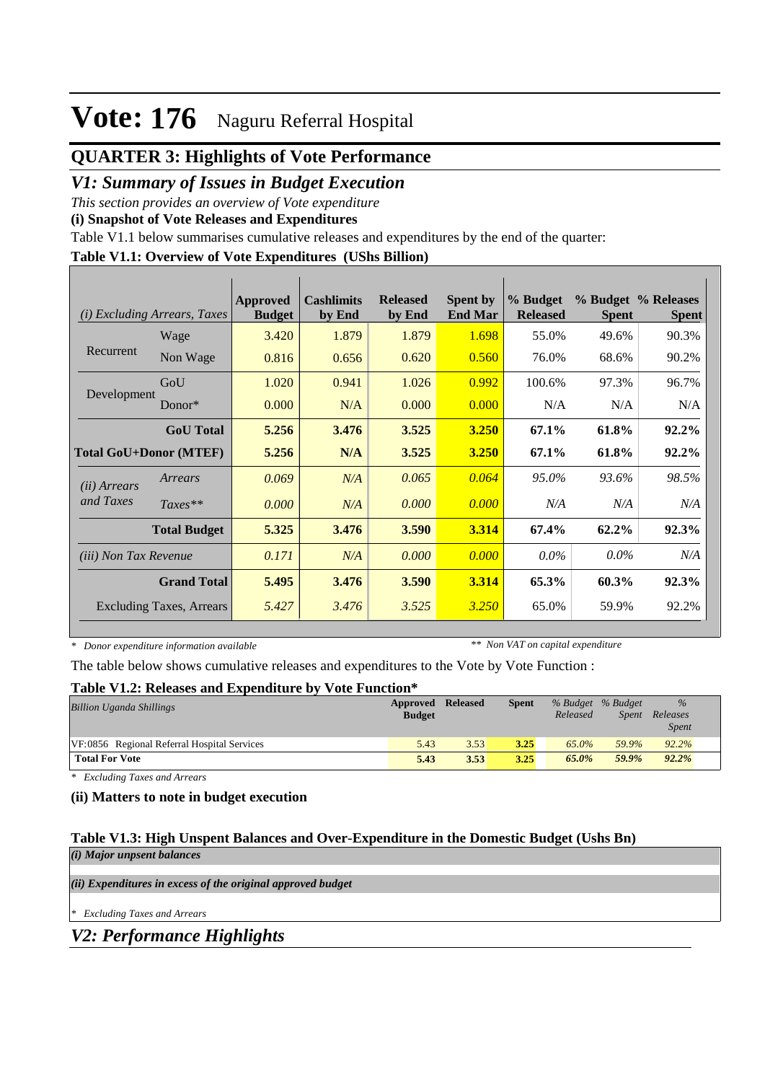## **QUARTER 3: Highlights of Vote Performance**

### *V1: Summary of Issues in Budget Execution*

*This section provides an overview of Vote expenditure* 

**(i) Snapshot of Vote Releases and Expenditures**

Table V1.1 below summarises cumulative releases and expenditures by the end of the quarter:

#### **Table V1.1: Overview of Vote Expenditures (UShs Billion)**

| (i)                          | <i>Excluding Arrears, Taxes</i> | Approved<br><b>Budget</b> | <b>Cashlimits</b><br>by End | <b>Released</b><br>by End | <b>Spent by</b><br><b>End Mar</b> | % Budget<br><b>Released</b> | <b>Spent</b> | % Budget % Releases<br><b>Spent</b> |
|------------------------------|---------------------------------|---------------------------|-----------------------------|---------------------------|-----------------------------------|-----------------------------|--------------|-------------------------------------|
|                              | Wage                            | 3.420                     | 1.879                       | 1.879                     | 1.698                             | 55.0%                       | 49.6%        | 90.3%                               |
| Recurrent                    | Non Wage                        | 0.816                     | 0.656                       | 0.620                     | 0.560                             | 76.0%                       | 68.6%        | 90.2%                               |
|                              | GoU                             | 1.020                     | 0.941                       | 1.026                     | 0.992                             | 100.6%                      | 97.3%        | 96.7%                               |
| Development                  | Donor $*$                       | 0.000                     | N/A                         | 0.000                     | 0.000                             | N/A                         | N/A          | N/A                                 |
|                              | <b>GoU</b> Total                | 5.256                     | 3.476                       | 3.525                     | 3.250                             | 67.1%                       | 61.8%        | 92.2%                               |
|                              | <b>Total GoU+Donor (MTEF)</b>   | 5.256                     | N/A                         | 3.525                     | <b>3.250</b>                      | 67.1%                       | 61.8%        | 92.2%                               |
| ( <i>ii</i> ) Arrears        | Arrears                         | 0.069                     | N/A                         | 0.065                     | 0.064                             | 95.0%                       | 93.6%        | 98.5%                               |
| and Taxes                    | $Taxes**$                       | 0.000                     | N/A                         | 0.000                     | 0.000                             | N/A                         | N/A          | N/A                                 |
|                              | <b>Total Budget</b>             | 5.325                     | 3.476                       | 3.590                     | 3.314                             | 67.4%                       | 62.2%        | 92.3%                               |
| <i>(iii)</i> Non Tax Revenue |                                 | 0.171                     | N/A                         | 0.000                     | 0.000                             | $0.0\%$                     | $0.0\%$      | N/A                                 |
|                              | <b>Grand Total</b>              | 5.495                     | 3.476                       | 3.590                     | 3.314                             | 65.3%                       | 60.3%        | 92.3%                               |
|                              | Excluding Taxes, Arrears        | 5.427                     | 3.476                       | 3.525                     | 3.250                             | 65.0%                       | 59.9%        | 92.2%                               |

*\* Donor expenditure information available*

*\*\* Non VAT on capital expenditure*

The table below shows cumulative releases and expenditures to the Vote by Vote Function :

#### **Table V1.2: Releases and Expenditure by Vote Function\***

| <b>Billion Uganda Shillings</b>             | Approved Released<br><b>Budget</b> |      | <b>Spent</b> | % Budget % Budget<br>Released | Spent | $\%$<br>Releases<br><i>Spent</i> |  |
|---------------------------------------------|------------------------------------|------|--------------|-------------------------------|-------|----------------------------------|--|
| VF:0856 Regional Referral Hospital Services | 5.43                               | 3.53 | 3.25         | 65.0%                         | 59.9% | 92.2%                            |  |
| <b>Total For Vote</b>                       | 5.43                               | 3.53 | 3.25         | 65.0%                         | 59.9% | 92.2%                            |  |

*\* Excluding Taxes and Arrears*

#### **(ii) Matters to note in budget execution**

#### **Table V1.3: High Unspent Balances and Over-Expenditure in the Domestic Budget (Ushs Bn)** *(i) Major unpsent balances*

*(ii) Expenditures in excess of the original approved budget*

*\* Excluding Taxes and Arrears*

*V2: Performance Highlights*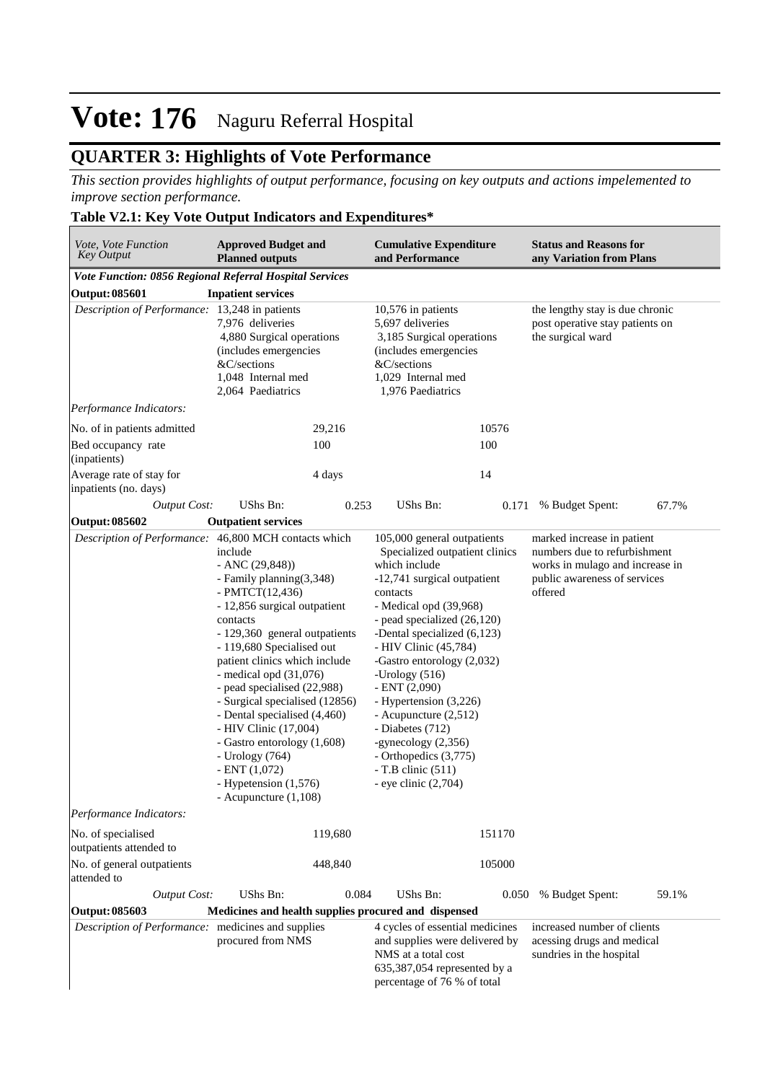## **QUARTER 3: Highlights of Vote Performance**

*This section provides highlights of output performance, focusing on key outputs and actions impelemented to improve section performance.*

### **Table V2.1: Key Vote Output Indicators and Expenditures\***

| Vote, Vote Function<br><b>Key Output</b>                | <b>Approved Budget and</b><br><b>Planned outputs</b>                                                                                                                                                                                                                                                                                                                                                                                                                                                        |         | <b>Cumulative Expenditure</b><br>and Performance                                                                                                                                                                                                                                                                                                                                                                                                                                            |        | <b>Status and Reasons for</b><br>any Variation from Plans                                                                                |       |
|---------------------------------------------------------|-------------------------------------------------------------------------------------------------------------------------------------------------------------------------------------------------------------------------------------------------------------------------------------------------------------------------------------------------------------------------------------------------------------------------------------------------------------------------------------------------------------|---------|---------------------------------------------------------------------------------------------------------------------------------------------------------------------------------------------------------------------------------------------------------------------------------------------------------------------------------------------------------------------------------------------------------------------------------------------------------------------------------------------|--------|------------------------------------------------------------------------------------------------------------------------------------------|-------|
| Vote Function: 0856 Regional Referral Hospital Services |                                                                                                                                                                                                                                                                                                                                                                                                                                                                                                             |         |                                                                                                                                                                                                                                                                                                                                                                                                                                                                                             |        |                                                                                                                                          |       |
| <b>Output: 085601</b>                                   | <b>Inpatient services</b>                                                                                                                                                                                                                                                                                                                                                                                                                                                                                   |         |                                                                                                                                                                                                                                                                                                                                                                                                                                                                                             |        |                                                                                                                                          |       |
| Description of Performance: 13,248 in patients          | 7.976 deliveries<br>4,880 Surgical operations<br>(includes emergencies<br>&C/sections<br>1.048 Internal med<br>2,064 Paediatrics                                                                                                                                                                                                                                                                                                                                                                            |         | 10,576 in patients<br>5,697 deliveries<br>3,185 Surgical operations<br>(includes emergencies<br>&C/sections<br>1,029 Internal med<br>1,976 Paediatrics                                                                                                                                                                                                                                                                                                                                      |        | the lengthy stay is due chronic<br>post operative stay patients on<br>the surgical ward                                                  |       |
| Performance Indicators:                                 |                                                                                                                                                                                                                                                                                                                                                                                                                                                                                                             |         |                                                                                                                                                                                                                                                                                                                                                                                                                                                                                             |        |                                                                                                                                          |       |
| No. of in patients admitted                             |                                                                                                                                                                                                                                                                                                                                                                                                                                                                                                             | 29,216  |                                                                                                                                                                                                                                                                                                                                                                                                                                                                                             | 10576  |                                                                                                                                          |       |
| Bed occupancy rate<br>(inpatients)                      |                                                                                                                                                                                                                                                                                                                                                                                                                                                                                                             | 100     |                                                                                                                                                                                                                                                                                                                                                                                                                                                                                             | 100    |                                                                                                                                          |       |
| Average rate of stay for<br>inpatients (no. days)       |                                                                                                                                                                                                                                                                                                                                                                                                                                                                                                             | 4 days  |                                                                                                                                                                                                                                                                                                                                                                                                                                                                                             | 14     |                                                                                                                                          |       |
| <b>Output Cost:</b>                                     | UShs Bn:                                                                                                                                                                                                                                                                                                                                                                                                                                                                                                    | 0.253   | UShs Bn:                                                                                                                                                                                                                                                                                                                                                                                                                                                                                    | 0.171  | % Budget Spent:                                                                                                                          | 67.7% |
| Output: 085602                                          | <b>Outpatient services</b>                                                                                                                                                                                                                                                                                                                                                                                                                                                                                  |         |                                                                                                                                                                                                                                                                                                                                                                                                                                                                                             |        |                                                                                                                                          |       |
| Description of Performance: 46,800 MCH contacts which   | include<br>$-$ ANC $(29, 848)$<br>- Family planning(3,348)<br>- $PMTCT(12,436)$<br>- 12,856 surgical outpatient<br>contacts<br>- 129,360 general outpatients<br>- 119,680 Specialised out<br>patient clinics which include<br>- medical opd $(31,076)$<br>- pead specialised (22,988)<br>- Surgical specialised (12856)<br>- Dental specialised (4,460)<br>- HIV Clinic (17,004)<br>- Gastro entorology (1,608)<br>- Urology (764)<br>$-$ ENT $(1,072)$<br>- Hypetension (1,576)<br>- Acupuncture $(1,108)$ |         | 105,000 general outpatients<br>Specialized outpatient clinics<br>which include<br>-12,741 surgical outpatient<br>contacts<br>- Medical opd (39,968)<br>- pead specialized (26,120)<br>-Dental specialized (6,123)<br>- HIV Clinic (45,784)<br>-Gastro entorology (2,032)<br>-Urology $(516)$<br>$-$ ENT $(2,090)$<br>- Hypertension (3,226)<br>- Acupuncture (2,512)<br>- Diabetes (712)<br>-gynecology (2,356)<br>- Orthopedics (3,775)<br>$-T.B$ clinic $(511)$<br>- eye clinic $(2,704)$ |        | marked increase in patient<br>numbers due to refurbishment<br>works in mulago and increase in<br>public awareness of services<br>offered |       |
| Performance Indicators:                                 |                                                                                                                                                                                                                                                                                                                                                                                                                                                                                                             |         |                                                                                                                                                                                                                                                                                                                                                                                                                                                                                             |        |                                                                                                                                          |       |
| No. of specialised<br>outpatients attended to           |                                                                                                                                                                                                                                                                                                                                                                                                                                                                                                             | 119,680 |                                                                                                                                                                                                                                                                                                                                                                                                                                                                                             | 151170 |                                                                                                                                          |       |
| No. of general outpatients<br>attended to               |                                                                                                                                                                                                                                                                                                                                                                                                                                                                                                             | 448,840 |                                                                                                                                                                                                                                                                                                                                                                                                                                                                                             | 105000 |                                                                                                                                          |       |
| <b>Output Cost:</b>                                     | UShs Bn:                                                                                                                                                                                                                                                                                                                                                                                                                                                                                                    | 0.084   | UShs Bn:                                                                                                                                                                                                                                                                                                                                                                                                                                                                                    | 0.050  | % Budget Spent:                                                                                                                          | 59.1% |
| Output: 085603                                          | Medicines and health supplies procured and dispensed                                                                                                                                                                                                                                                                                                                                                                                                                                                        |         |                                                                                                                                                                                                                                                                                                                                                                                                                                                                                             |        |                                                                                                                                          |       |
| Description of Performance: medicines and supplies      | procured from NMS                                                                                                                                                                                                                                                                                                                                                                                                                                                                                           |         | 4 cycles of essential medicines<br>and supplies were delivered by<br>NMS at a total cost<br>635,387,054 represented by a<br>percentage of 76 % of total                                                                                                                                                                                                                                                                                                                                     |        | increased number of clients<br>acessing drugs and medical<br>sundries in the hospital                                                    |       |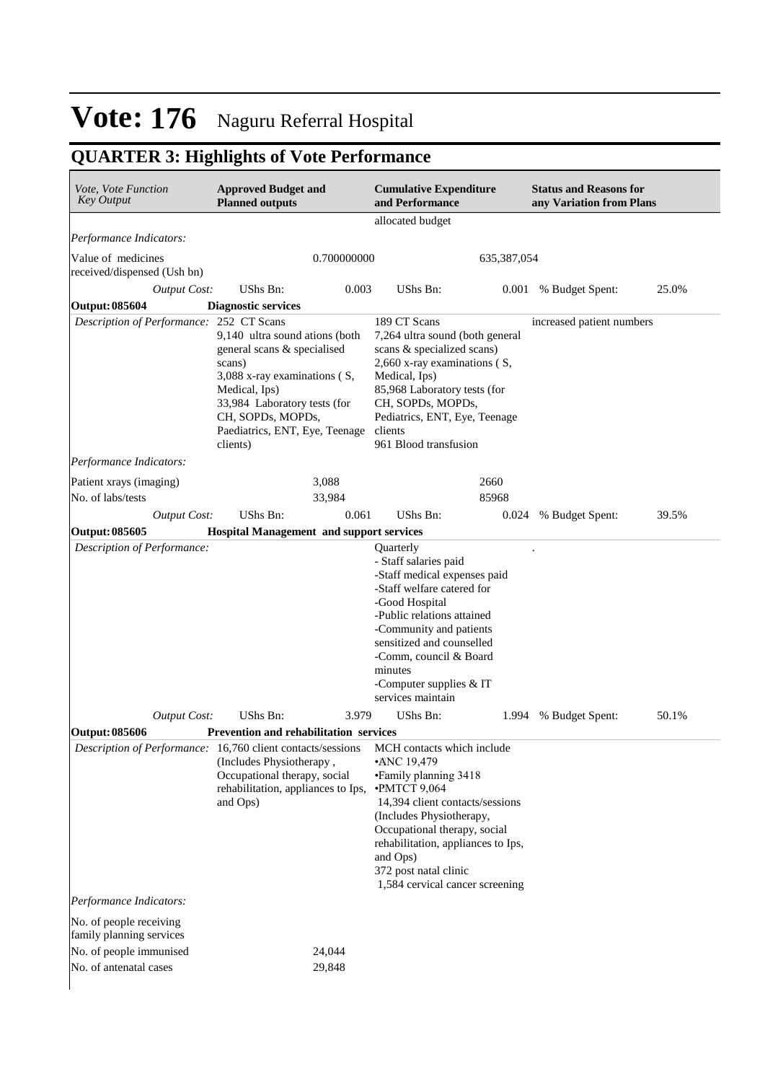# **QUARTER 3: Highlights of Vote Performance**

| Vote, Vote Function<br><b>Key Output</b>          | <b>Approved Budget and</b><br><b>Planned outputs</b>                                                                                                                                                                                           | <b>Cumulative Expenditure</b><br>and Performance                                                                                                                                                                                                                                             | <b>Status and Reasons for</b><br>any Variation from Plans |  |
|---------------------------------------------------|------------------------------------------------------------------------------------------------------------------------------------------------------------------------------------------------------------------------------------------------|----------------------------------------------------------------------------------------------------------------------------------------------------------------------------------------------------------------------------------------------------------------------------------------------|-----------------------------------------------------------|--|
|                                                   |                                                                                                                                                                                                                                                | allocated budget                                                                                                                                                                                                                                                                             |                                                           |  |
| Performance Indicators:                           |                                                                                                                                                                                                                                                |                                                                                                                                                                                                                                                                                              |                                                           |  |
| Value of medicines<br>received/dispensed (Ush bn) | 0.700000000                                                                                                                                                                                                                                    | 635, 387, 054                                                                                                                                                                                                                                                                                |                                                           |  |
| <b>Output Cost:</b>                               | UShs Bn:<br>0.003                                                                                                                                                                                                                              | UShs Bn:                                                                                                                                                                                                                                                                                     | 25.0%<br>0.001<br>% Budget Spent:                         |  |
| <b>Output: 085604</b>                             | <b>Diagnostic services</b>                                                                                                                                                                                                                     |                                                                                                                                                                                                                                                                                              |                                                           |  |
| Description of Performance: 252 CT Scans          |                                                                                                                                                                                                                                                | 189 CT Scans                                                                                                                                                                                                                                                                                 | increased patient numbers                                 |  |
|                                                   | 9,140 ultra sound ations (both<br>general scans & specialised<br>scans)<br>3,088 x-ray examinations (S,<br>Medical, Ips)<br>33,984 Laboratory tests (for<br>CH, SOPDs, MOPDs,<br>Paediatrics, ENT, Eye, Teenage<br>clients)                    | 7,264 ultra sound (both general<br>scans & specialized scans)<br>2,660 x-ray examinations (S,<br>Medical, Ips)<br>85,968 Laboratory tests (for<br>CH, SOPDs, MOPDs,<br>Pediatrics, ENT, Eye, Teenage<br>clients<br>961 Blood transfusion                                                     |                                                           |  |
| Performance Indicators:                           |                                                                                                                                                                                                                                                |                                                                                                                                                                                                                                                                                              |                                                           |  |
| Patient xrays (imaging)                           | 3,088                                                                                                                                                                                                                                          | 2660                                                                                                                                                                                                                                                                                         |                                                           |  |
| No. of labs/tests                                 | 33,984                                                                                                                                                                                                                                         | 85968                                                                                                                                                                                                                                                                                        |                                                           |  |
| <b>Output Cost:</b>                               | UShs Bn:<br>0.061                                                                                                                                                                                                                              | UShs Bn:                                                                                                                                                                                                                                                                                     | 39.5%<br>% Budget Spent:<br>0.024                         |  |
| <b>Output: 085605</b>                             | <b>Hospital Management and support services</b>                                                                                                                                                                                                |                                                                                                                                                                                                                                                                                              |                                                           |  |
|                                                   | UShs Bn:                                                                                                                                                                                                                                       | - Staff salaries paid<br>-Staff medical expenses paid<br>-Staff welfare catered for<br>-Good Hospital<br>-Public relations attained<br>-Community and patients<br>sensitized and counselled<br>-Comm, council & Board<br>minutes<br>-Computer supplies & IT<br>services maintain<br>UShs Bn: |                                                           |  |
| <b>Output Cost:</b>                               | 3.979                                                                                                                                                                                                                                          |                                                                                                                                                                                                                                                                                              | % Budget Spent:<br>50.1%<br>1.994                         |  |
| <b>Output: 085606</b><br>Performance Indicators:  | Prevention and rehabilitation services<br>Description of Performance: 16,760 client contacts/sessions MCH contacts which include<br>(Includes Physiotherapy,<br>Occupational therapy, social<br>rehabilitation, appliances to Ips,<br>and Ops) | •ANC 19,479<br>• Family planning 3418<br>$\cdot$ PMTCT 9,064<br>14,394 client contacts/sessions<br>(Includes Physiotherapy,<br>Occupational therapy, social<br>rehabilitation, appliances to Ips,<br>and Ops)<br>372 post natal clinic<br>1,584 cervical cancer screening                    |                                                           |  |
| No. of people receiving                           |                                                                                                                                                                                                                                                |                                                                                                                                                                                                                                                                                              |                                                           |  |
| family planning services                          |                                                                                                                                                                                                                                                |                                                                                                                                                                                                                                                                                              |                                                           |  |
| No. of people immunised<br>No. of antenatal cases | 24,044                                                                                                                                                                                                                                         |                                                                                                                                                                                                                                                                                              |                                                           |  |
|                                                   | 29,848                                                                                                                                                                                                                                         |                                                                                                                                                                                                                                                                                              |                                                           |  |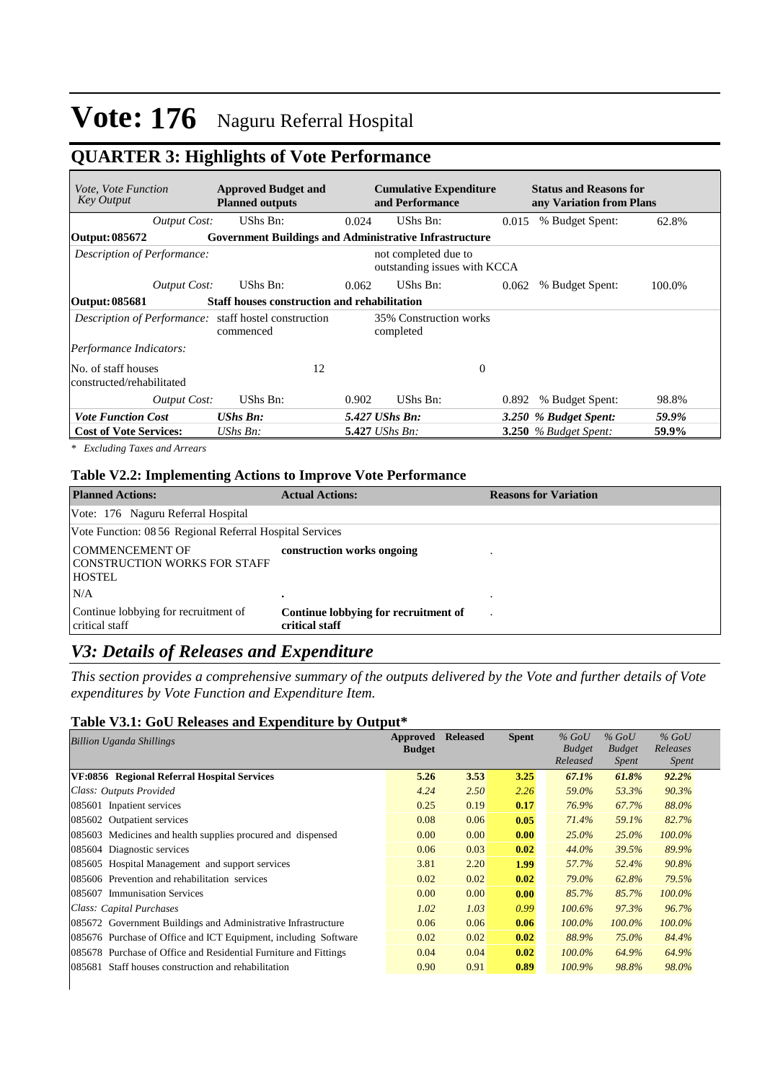## **QUARTER 3: Highlights of Vote Performance**

| <i>Vote, Vote Function</i><br>Key Output         |                     | <b>Approved Budget and</b><br><b>Planned outputs</b>               |       | <b>Cumulative Expenditure</b><br>and Performance     |              | <b>Status and Reasons for</b><br>any Variation from Plans |        |
|--------------------------------------------------|---------------------|--------------------------------------------------------------------|-------|------------------------------------------------------|--------------|-----------------------------------------------------------|--------|
|                                                  | Output Cost:        | UShs Bn:                                                           | 0.024 | UShs Bn:                                             | 0.015        | % Budget Spent:                                           | 62.8%  |
| Output: 085672                                   |                     | <b>Government Buildings and Administrative Infrastructure</b>      |       |                                                      |              |                                                           |        |
| Description of Performance:                      |                     |                                                                    |       | not completed due to<br>outstanding issues with KCCA |              |                                                           |        |
|                                                  | <b>Output Cost:</b> | UShs Bn:                                                           | 0.062 | UShs Bn:                                             | 0.062        | % Budget Spent:                                           | 100.0% |
| Output: 085681                                   |                     | <b>Staff houses construction and rehabilitation</b>                |       |                                                      |              |                                                           |        |
|                                                  |                     | Description of Performance: staff hostel construction<br>commenced |       | 35% Construction works<br>completed                  |              |                                                           |        |
| Performance Indicators:                          |                     |                                                                    |       |                                                      |              |                                                           |        |
| No. of staff houses<br>constructed/rehabilitated |                     | 12                                                                 |       |                                                      | $\mathbf{0}$ |                                                           |        |
|                                                  | <b>Output Cost:</b> | UShs Bn:                                                           | 0.902 | UShs Bn:                                             | 0.892        | % Budget Spent:                                           | 98.8%  |
| <b>Vote Function Cost</b>                        |                     | $UShs$ $Bn$ :                                                      |       | 5.427 UShs Bn:                                       |              | 3.250 % Budget Spent:                                     | 59.9%  |
| <b>Cost of Vote Services:</b>                    |                     | UShs Bn:                                                           |       | $5.427$ UShs Bn:                                     |              | $3.250$ % Budget Spent:                                   | 59.9%  |

*\* Excluding Taxes and Arrears*

#### **Table V2.2: Implementing Actions to Improve Vote Performance**

| <b>Planned Actions:</b>                                                 | <b>Actual Actions:</b>                                 | <b>Reasons for Variation</b> |
|-------------------------------------------------------------------------|--------------------------------------------------------|------------------------------|
| Vote: 176 Naguru Referral Hospital                                      |                                                        |                              |
| Vote Function: 08 56 Regional Referral Hospital Services                |                                                        |                              |
| <b>COMMENCEMENT OF</b><br>CONSTRUCTION WORKS FOR STAFF<br><b>HOSTEL</b> | construction works ongoing                             |                              |
| N/A                                                                     | ٠                                                      |                              |
| Continue lobbying for recruitment of<br>critical staff                  | Continue lobbying for recruitment of<br>critical staff |                              |

### *V3: Details of Releases and Expenditure*

*This section provides a comprehensive summary of the outputs delivered by the Vote and further details of Vote expenditures by Vote Function and Expenditure Item.*

### **Table V3.1: GoU Releases and Expenditure by Output\***

| <b>Billion Uganda Shillings</b>                                  | Approved      | <b>Released</b> | <b>Spent</b> | $%$ GoU       | $%$ GoU       | $%$ GoU      |
|------------------------------------------------------------------|---------------|-----------------|--------------|---------------|---------------|--------------|
|                                                                  | <b>Budget</b> |                 |              | <b>Budget</b> | <b>Budget</b> | Releases     |
|                                                                  |               |                 |              | Released      | <i>Spent</i>  | <i>Spent</i> |
| VF:0856 Regional Referral Hospital Services                      | 5.26          | 3.53            | 3.25         | 67.1%         | 61.8%         | $92.2\%$     |
| Class: Outputs Provided                                          | 4.24          | 2.50            | 2.26         | 59.0%         | 53.3%         | 90.3%        |
| 085601 Inpatient services                                        | 0.25          | 0.19            | 0.17         | 76.9%         | 67.7%         | 88.0%        |
| <b>Outpatient services</b><br>085602                             | 0.08          | 0.06            | 0.05         | 71.4%         | 59.1%         | 82.7%        |
| 085603 Medicines and health supplies procured and dispensed      | 0.00          | 0.00            | 0.00         | 25.0%         | 25.0%         | 100.0%       |
| Diagnostic services<br>085604                                    | 0.06          | 0.03            | 0.02         | 44.0%         | 39.5%         | 89.9%        |
| 085605 Hospital Management and support services                  | 3.81          | 2.20            | 1.99         | 57.7%         | 52.4%         | 90.8%        |
| 085606 Prevention and rehabilitation services                    | 0.02          | 0.02            | 0.02         | 79.0%         | 62.8%         | 79.5%        |
| 085607 Immunisation Services                                     | 0.00          | 0.00            | 0.00         | 85.7%         | 85.7%         | $100.0\%$    |
| Class: Capital Purchases                                         | 1.02          | 1.03            | 0.99         | $100.6\%$     | 97.3%         | 96.7%        |
| 085672 Government Buildings and Administrative Infrastructure    | 0.06          | 0.06            | 0.06         | 100.0%        | 100.0%        | 100.0%       |
| 085676 Purchase of Office and ICT Equipment, including Software  | 0.02          | 0.02            | 0.02         | 88.9%         | 75.0%         | 84.4%        |
| 085678 Purchase of Office and Residential Furniture and Fittings | 0.04          | 0.04            | 0.02         | $100.0\%$     | 64.9%         | 64.9%        |
| 085681 Staff houses construction and rehabilitation              | 0.90          | 0.91            | 0.89         | 100.9%        | 98.8%         | 98.0%        |
|                                                                  |               |                 |              |               |               |              |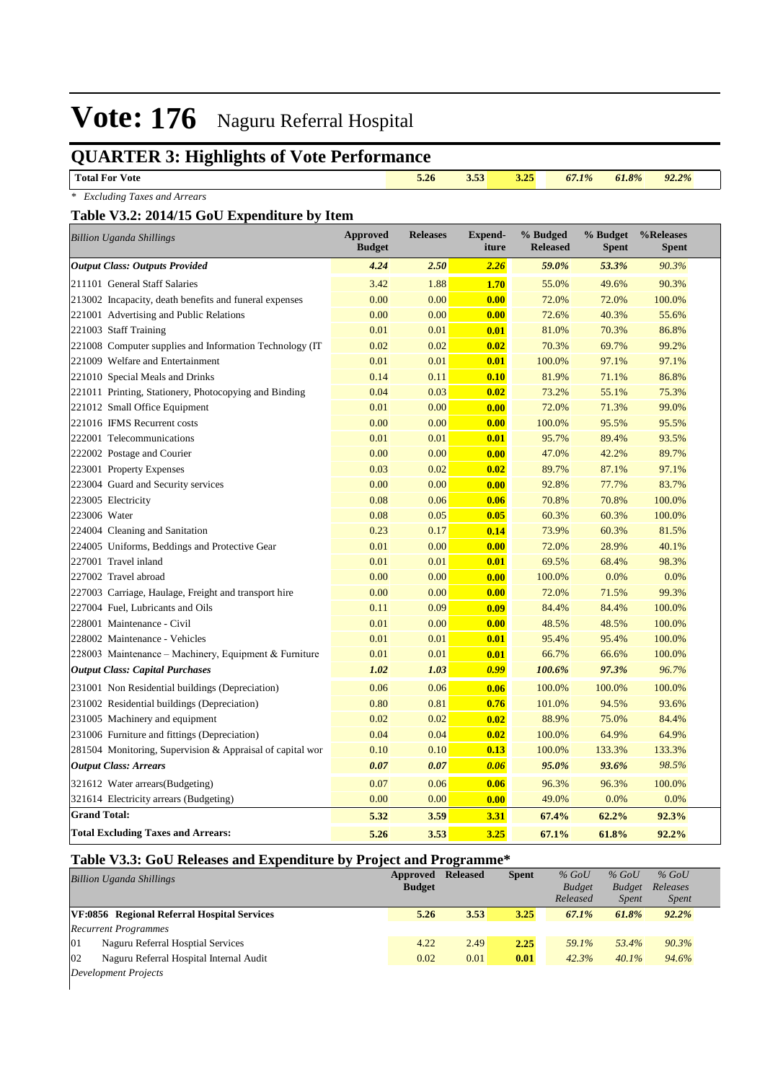# **QUARTER 3: Highlights of Vote Performance**

| explanation in the same of your reference |      |      |      |       |       |       |  |
|-------------------------------------------|------|------|------|-------|-------|-------|--|
| <b>Total For</b> `<br><b>V</b> ote        | 5.26 | 3.33 | 3.25 | 67.1% | 61.8% | 92.2% |  |

|  | * Excluding Taxes and Arrears |  |
|--|-------------------------------|--|
|  |                               |  |

#### **Table V3.2: 2014/15 GoU Expenditure by Item**

| $\sim$ $\sim$ $\sim$ $\sim$ $\sim$<br><b>Billion Uganda Shillings</b> | <b>Approved</b><br><b>Budget</b> | <b>Releases</b> | <b>Expend-</b><br>iture | % Budged<br><b>Released</b> | % Budget<br><b>Spent</b> | %Releases<br><b>Spent</b> |
|-----------------------------------------------------------------------|----------------------------------|-----------------|-------------------------|-----------------------------|--------------------------|---------------------------|
| <b>Output Class: Outputs Provided</b>                                 | 4.24                             | 2.50            | 2.26                    | 59.0%                       | 53.3%                    | 90.3%                     |
| 211101 General Staff Salaries                                         | 3.42                             | 1.88            | 1.70                    | 55.0%                       | 49.6%                    | 90.3%                     |
| 213002 Incapacity, death benefits and funeral expenses                | 0.00                             | 0.00            | 0.00                    | 72.0%                       | 72.0%                    | 100.0%                    |
| 221001 Advertising and Public Relations                               | 0.00                             | 0.00            | 0.00                    | 72.6%                       | 40.3%                    | 55.6%                     |
| 221003 Staff Training                                                 | 0.01                             | 0.01            | 0.01                    | 81.0%                       | 70.3%                    | 86.8%                     |
| 221008 Computer supplies and Information Technology (IT)              | 0.02                             | 0.02            | 0.02                    | 70.3%                       | 69.7%                    | 99.2%                     |
| 221009 Welfare and Entertainment                                      | 0.01                             | 0.01            | 0.01                    | 100.0%                      | 97.1%                    | 97.1%                     |
| 221010 Special Meals and Drinks                                       | 0.14                             | 0.11            | 0.10                    | 81.9%                       | 71.1%                    | 86.8%                     |
| 221011 Printing, Stationery, Photocopying and Binding                 | 0.04                             | 0.03            | 0.02                    | 73.2%                       | 55.1%                    | 75.3%                     |
| 221012 Small Office Equipment                                         | 0.01                             | 0.00            | 0.00                    | 72.0%                       | 71.3%                    | 99.0%                     |
| 221016 IFMS Recurrent costs                                           | 0.00                             | 0.00            | 0.00                    | 100.0%                      | 95.5%                    | 95.5%                     |
| 222001 Telecommunications                                             | 0.01                             | 0.01            | 0.01                    | 95.7%                       | 89.4%                    | 93.5%                     |
| 222002 Postage and Courier                                            | 0.00                             | 0.00            | 0.00                    | 47.0%                       | 42.2%                    | 89.7%                     |
| 223001 Property Expenses                                              | 0.03                             | 0.02            | 0.02                    | 89.7%                       | 87.1%                    | 97.1%                     |
| 223004 Guard and Security services                                    | 0.00                             | 0.00            | 0.00                    | 92.8%                       | 77.7%                    | 83.7%                     |
| 223005 Electricity                                                    | 0.08                             | 0.06            | 0.06                    | 70.8%                       | 70.8%                    | 100.0%                    |
| 223006 Water                                                          | 0.08                             | 0.05            | 0.05                    | 60.3%                       | 60.3%                    | 100.0%                    |
| 224004 Cleaning and Sanitation                                        | 0.23                             | 0.17            | 0.14                    | 73.9%                       | 60.3%                    | 81.5%                     |
| 224005 Uniforms, Beddings and Protective Gear                         | 0.01                             | 0.00            | 0.00                    | 72.0%                       | 28.9%                    | 40.1%                     |
| 227001 Travel inland                                                  | 0.01                             | 0.01            | 0.01                    | 69.5%                       | 68.4%                    | 98.3%                     |
| 227002 Travel abroad                                                  | 0.00                             | 0.00            | 0.00                    | 100.0%                      | 0.0%                     | 0.0%                      |
| 227003 Carriage, Haulage, Freight and transport hire                  | 0.00                             | 0.00            | 0.00                    | 72.0%                       | 71.5%                    | 99.3%                     |
| 227004 Fuel, Lubricants and Oils                                      | 0.11                             | 0.09            | 0.09                    | 84.4%                       | 84.4%                    | 100.0%                    |
| 228001 Maintenance - Civil                                            | 0.01                             | 0.00            | 0.00                    | 48.5%                       | 48.5%                    | 100.0%                    |
| 228002 Maintenance - Vehicles                                         | 0.01                             | 0.01            | 0.01                    | 95.4%                       | 95.4%                    | 100.0%                    |
| 228003 Maintenance - Machinery, Equipment & Furniture                 | 0.01                             | 0.01            | 0.01                    | 66.7%                       | 66.6%                    | 100.0%                    |
| <b>Output Class: Capital Purchases</b>                                | 1.02                             | 1.03            | 0.99                    | 100.6%                      | 97.3%                    | 96.7%                     |
| 231001 Non Residential buildings (Depreciation)                       | 0.06                             | 0.06            | 0.06                    | 100.0%                      | 100.0%                   | 100.0%                    |
| 231002 Residential buildings (Depreciation)                           | 0.80                             | 0.81            | 0.76                    | 101.0%                      | 94.5%                    | 93.6%                     |
| 231005 Machinery and equipment                                        | 0.02                             | 0.02            | 0.02                    | 88.9%                       | 75.0%                    | 84.4%                     |
| 231006 Furniture and fittings (Depreciation)                          | 0.04                             | 0.04            | 0.02                    | 100.0%                      | 64.9%                    | 64.9%                     |
| 281504 Monitoring, Supervision & Appraisal of capital wor             | 0.10                             | 0.10            | 0.13                    | 100.0%                      | 133.3%                   | 133.3%                    |
| <b>Output Class: Arrears</b>                                          | 0.07                             | 0.07            | 0.06                    | 95.0%                       | 93.6%                    | 98.5%                     |
| 321612 Water arrears(Budgeting)                                       | 0.07                             | 0.06            | 0.06                    | 96.3%                       | 96.3%                    | 100.0%                    |
| 321614 Electricity arrears (Budgeting)                                | 0.00                             | 0.00            | 0.00                    | 49.0%                       | 0.0%                     | 0.0%                      |
| <b>Grand Total:</b>                                                   | 5.32                             | 3.59            | 3.31                    | 67.4%                       | 62.2%                    | 92.3%                     |
| <b>Total Excluding Taxes and Arrears:</b>                             | 5.26                             | 3.53            | 3.25                    | 67.1%                       | 61.8%                    | 92.2%                     |

### **Table V3.3: GoU Releases and Expenditure by Project and Programme\***

| <b>Billion Uganda Shillings</b>                         | Approved<br><b>Budget</b> | <b>Released</b> | <b>Spent</b> | $%$ GoU<br><b>Budget</b> | $%$ GoU<br><b>Budget</b> | $%$ GoU<br>Releases |
|---------------------------------------------------------|---------------------------|-----------------|--------------|--------------------------|--------------------------|---------------------|
|                                                         |                           |                 |              | Released                 | <i>Spent</i>             | <i>Spent</i>        |
| VF:0856 Regional Referral Hospital Services             | 5.26                      | 3.53            | 3.25         | 67.1%                    | 61.8%                    | $92.2\%$            |
| <b>Recurrent Programmes</b>                             |                           |                 |              |                          |                          |                     |
| 01<br>Naguru Referral Hosptial Services                 | 4.22                      | 2.49            | 2.25         | 59.1%                    | 53.4%                    | 90.3%               |
| $ 02\rangle$<br>Naguru Referral Hospital Internal Audit | 0.02                      | 0.01            | 0.01         | 42.3%                    | $40.1\%$                 | 94.6%               |
| Development Projects                                    |                           |                 |              |                          |                          |                     |
|                                                         |                           |                 |              |                          |                          |                     |